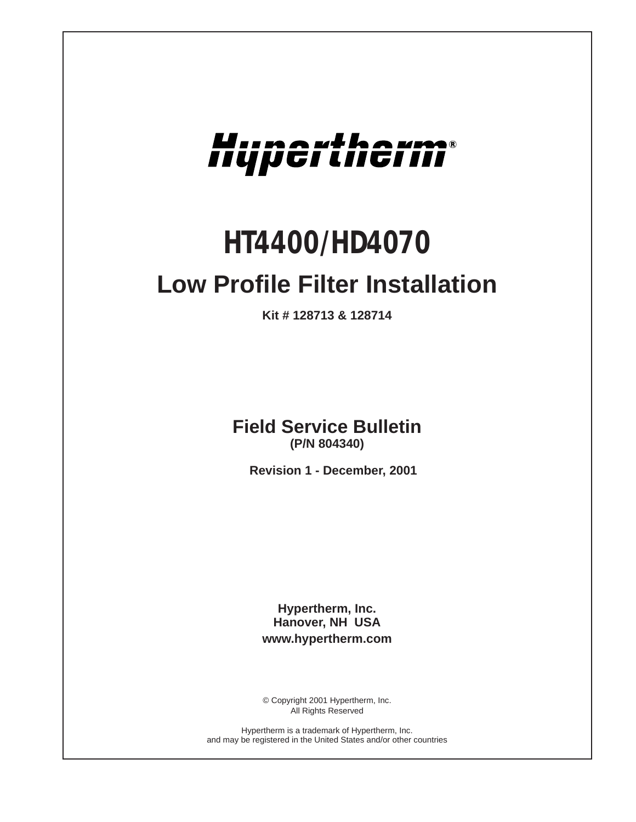

# *HT4400/HD4070*

# **Low Profile Filter Installation**

**Kit # 128713 & 128714**

**Field Service Bulletin (P/N 804340)**

**Revision 1 - December, 2001**

**Hypertherm, Inc. Hanover, NH USA www.hypertherm.com**

© Copyright 2001 Hypertherm, Inc. All Rights Reserved

Hypertherm is a trademark of Hypertherm, Inc. and may be registered in the United States and/or other countries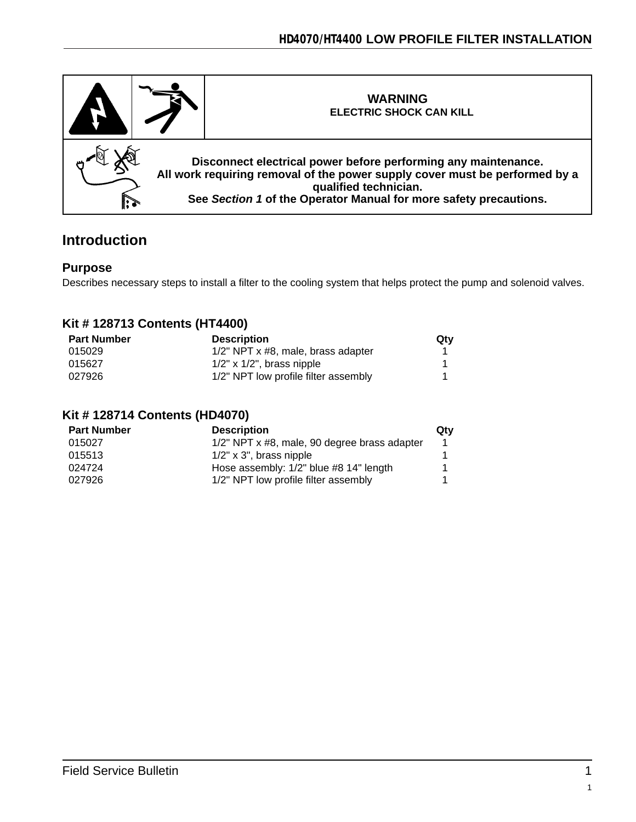

### **Introduction**

#### **Purpose**

Describes necessary steps to install a filter to the cooling system that helps protect the pump and solenoid valves.

#### **Kit # 128713 Contents (HT4400)**

| <b>Part Number</b> | <b>Description</b>                   | Qty |
|--------------------|--------------------------------------|-----|
| 015029             | 1/2" NPT x #8, male, brass adapter   |     |
| 015627             | $1/2"$ x $1/2"$ , brass nipple       |     |
| 027926             | 1/2" NPT low profile filter assembly |     |

#### **Kit # 128714 Contents (HD4070)**

| <b>Part Number</b> | <b>Description</b>                           | Qtv |
|--------------------|----------------------------------------------|-----|
| 015027             | 1/2" NPT x #8, male, 90 degree brass adapter |     |
| 015513             | $1/2"$ x 3", brass nipple                    |     |
| 024724             | Hose assembly: 1/2" blue #8 14" length       |     |
| 027926             | 1/2" NPT low profile filter assembly         |     |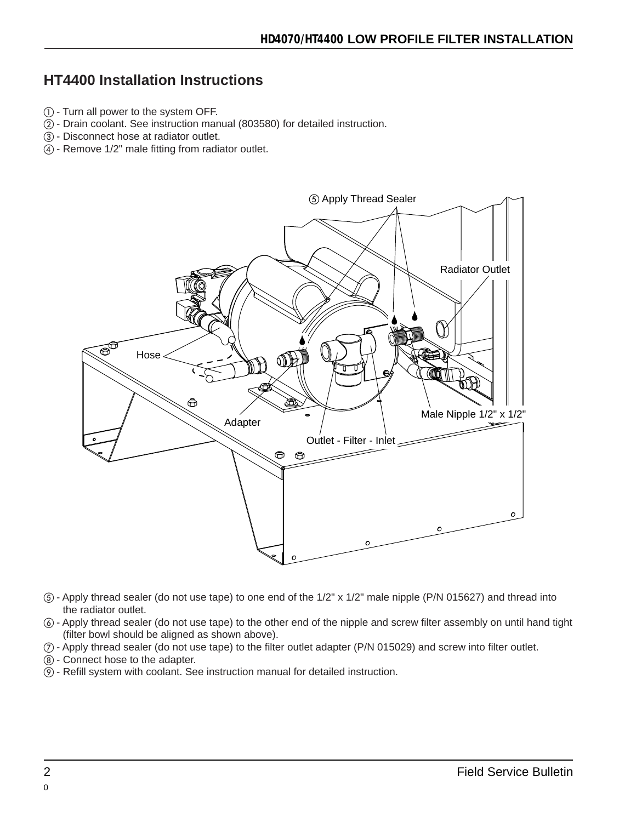# **HT4400 Installation Instructions**

- - Turn all power to the system OFF.
- Drain coolant. See instruction manual (803580) for detailed instruction.
- Disconnect hose at radiator outlet.
- Remove 1/2" male fitting from radiator outlet.



- Apply thread sealer (do not use tape) to one end of the 1/2" x 1/2" male nipple (P/N 015627) and thread into the radiator outlet.
- Apply thread sealer (do not use tape) to the other end of the nipple and screw filter assembly on until hand tight (filter bowl should be aligned as shown above).
- Apply thread sealer (do not use tape) to the filter outlet adapter (P/N 015029) and screw into filter outlet.
- $(8)$  Connect hose to the adapter.
- Refill system with coolant. See instruction manual for detailed instruction.